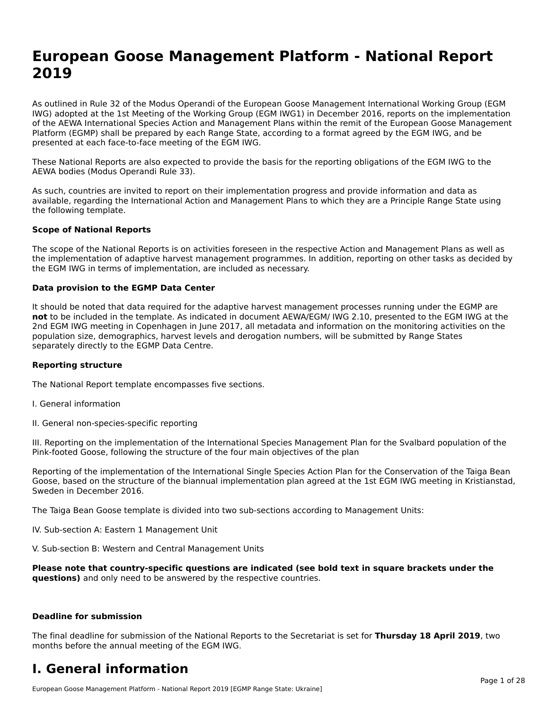# **European Goose Management Platform - National Report**European Goose Management Platform - National **Neport**<br>2010

As outlined in Rule 32 of the Modus Operandi of the European Goose Management International Working Group (EGM As buthled in Rule 32 of the Modus Operandi of the Lufopean Goose Management International Working Group (LGM<br>IWG) adopted at the 1st Meeting of the Working Group (EGM IWG1) in December 2016, reports on the implementation of the AEWA International Species Action and Management Plans within the remit of the European Goose Management Platform (EGMP) shall be prepared by each Range State, according to a format agreed by the EGM IWG, and be presented at each face-to-face meeting of the EGM IWG.

These National Reports are also expected to provide the basis for the reporting obligations of the EGM IWG to the AEWA bodies (Modus Operandi Rule 33).

As such, countries are invited to report on their implementation progress and provide information and data as<br>available, regarding the International Action and Management Plans to which they are a Principle Range State usi available, regarding the International Action and Management Plans to which they are a Principle Range State using the following template.

#### **Scope of National Reports**

The scope of the National Reports is on activities foreseen in the respective Action and Management Plans as well as The scope of the National Reports is on activities foreseen in the respective Action and Management Plans as well as<br>the implementation of adaptive harvest management programmes. In addition, reporting on other tasks as de the EGM IWG in terms of implementation, are included as necessary.

#### **Data provision to the EGMP Data Center**

It should be noted that data required for the adaptive harvest management processes running under the EGMP are **not** to be included in the template. As indicated in document AEWA/EGM/ IWG 2.10, presented to the EGM IWG at the 2nd EGM IWG meeting in Copenhagen in June 2017, all metadata and information on the monitoring activities on the population size, demographics, harvest levels and derogation numbers, will be submitted by Range States separately directly to the EGMP Data Centre.

#### **Reporting structure**

The National Report template encompasses five sections.

- I. General information
- II. General non-species-specific reporting

III. Reporting on the implementation of the International Species Management Plan for the Svalbard population of the

Reporting of the implementation of the International Single Species Action Plan for the Conservation of the Taiga Bean Reporting of the implementation of the international single species Action Fram for the conservation of the laiga beam<br>Goose, based on the structure of the biannual implementation plan agreed at the 1st EGM IWG meeting in

The Taiga Bean Goose template is divided into two sub-sections according to Management Units:

IV. Sub-section A: Eastern 1 Management Unit

V. Sub-section B: Western and Central Management Units

Please note that country-specific questions are indicated (see bold text in square brackets under the **questions)** and only need to be answered by the respective countries.

#### **Deadline for submission**

The final deadline for submission of the National Reports to the Secretariat is set for **Thursday 18 April 2019**, two months before the annual meeting of the EGM IWG.

#### **I. General information**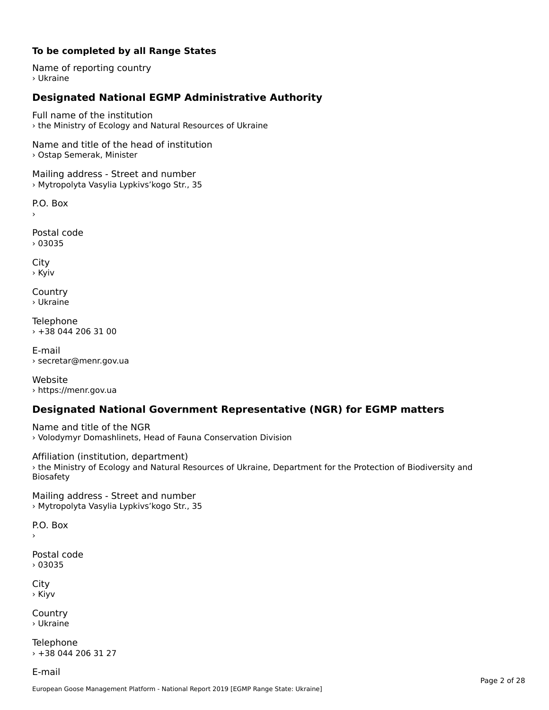#### **To be completed by all Range States**

Name of reporting country › Ukraine

## **Designated National EGMP Administrative Authority**

Full name of the institution› the Ministry of Ecology and Natural Resources of Ukraine

Name and title of the head of institution › Ostap Semerak, Minister

Mailing address - Street and number › Mytropolyta Vasylia Lypkivs'kogo Str., 35

P.O. Box

Postal code› 03035

City › Kyiv

Country› Ukraine

Telephone › +38 044 206 31 00

E-mail› secretar@menr.gov.ua

Website › https://menr.gov.ua

### **Designated National Government Representative (NGR) for EGMP matters**

Name and title of the NGR › Volodymyr Domashlinets, Head of Fauna Conservation Division

Affiliation (institution, department) › the Ministry of Ecology and Natural Resources of Ukraine, Department for the Protection of Biodiversity and Biosafety

Mailing address - Street and number › Mytropolyta Vasylia Lypkivs'kogo Str., 35

 $\overline{P}$ ›

Postal code › 03035

City › Kiyv

Country› Ukraine

Telephone › +38 044 206 31 27

E-mail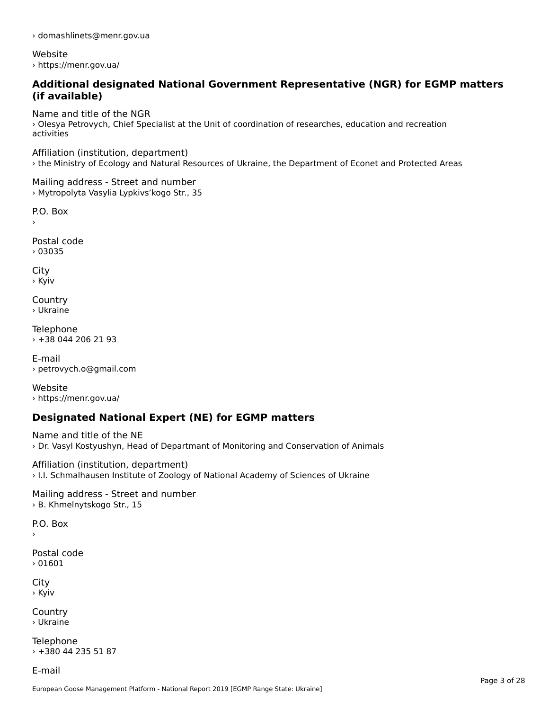› domashlinets@menr.gov.ua

Website› https://menr.gov.ua/

#### **Additional designated National Government Representative (NGR) for EGMP matters (if available)**

Name and title of the NGR

› Olesya Petrovych, Chief Specialist at the Unit of coordination of researches, education and recreation activities

Affiliation (institution, department) › the Ministry of Ecology and Natural Resources of Ukraine, the Department of Econet and Protected Areas

Mailing address - Street and number › Mytropolyta Vasylia Lypkivs'kogo Str., 35

P.O. Box

Postal code› 03035

City › Kyiv

Country› Ukraine

**Telephone** › +38 044 206 21 93

E-mail› petrovych.o@gmail.com

Website› https://menr.gov.ua/

## **Designated National Expert (NE) for EGMP matters**

Name and title of the NE› Dr. Vasyl Kostyushyn, Head of Departmant of Monitoring and Conservation of Animals

Affiliation (institution, department) › I.I. Schmalhausen Institute of Zoology of National Academy of Sciences of Ukraine

Mailing address - Street and number › B. Khmelnytskogo Str., 15

P.O. Box

Postal code› 01601

City › Kyiv

**Country** › Ukraine

Telephone › +380 44 235 51 87

E-mail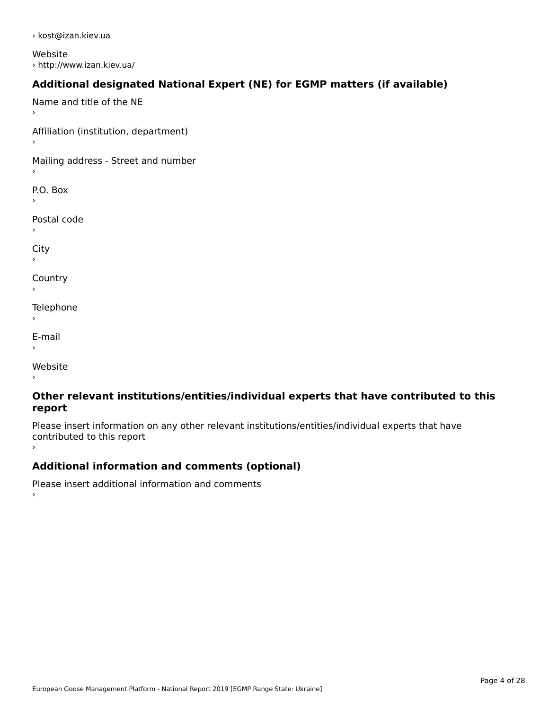› kost@izan.kiev.ua

Website › http://www.izan.kiev.ua/

## **Additional designated National Expert (NE) for EGMP matters (if available)**

Name and title of the NE›Affiliation (institution, department) Mailing address - Street and number P.O. Box Postal code› $\mathbf{C}^{\text{th}}$ ›**Country** Telephone E-mail›website<br>Website ›

#### **Other relevant institutions/entities/individual experts that have contributed to this report**report

Please insert information on any other relevant institutions/entities/individual experts that have riease insert information<br>contributed to this report ›

## **Additional information and comments (optional)**

Please insert additional information and comments ›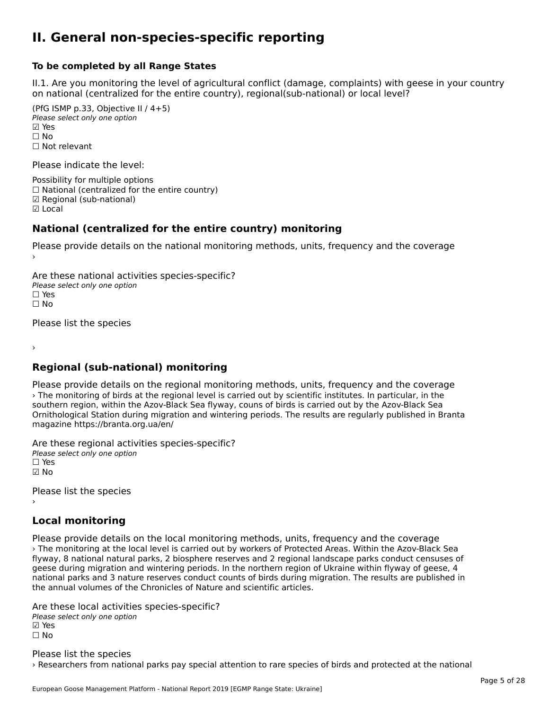#### **II. General non-species-specific reporting**

#### **To be completed by all Range States**

II.1. Are you monitoring the level of agricultural conflict (damage, complaints) with geese in your country n.i. Are you monitoring the lever or agricultural connict (damage, complaints) with g<br>on national (centralized for the entire country), regional(sub-national) or local level?

(PfG ISMP p.33, Objective II  $(4+5)$ ) Please select only one option ☑ Yes**☑ Yes**<br>□ No □ No<br>□ Not relevant

Please indicate the level:

Possibility for multiple options  $\Box$  National (centralized for the entire country) **☑ Regional (sub-national)**<br>☑ Local

#### **National (centralized for the entire country) monitoring**

Please provide details on the national monitoring methods, units, frequency and the coverage

Are these national activities species-specific? ∩ne enese national activity<br>Please select only one option ים וכ<br>⊡ No

Please list the species

›

## **Regional (sub-national) monitoring**

Please provide details on the regional monitoring methods, units, frequency and the coverage › The monitoring of birds at the regional level is carried out by scientific institutes. In particular, in the southern region, within the Azov-Black Sea flyway, couns of birds is carried out by the Azov-Black Sea Ornithological Station during migration and wintering periods. The results are regularly published in Branta magazine https://branta.org.ua/en/

Are these regional activities species-specific? ∩ne enese regional activ<br>Please select only one option

☑ No

Please list the species ›

## **Local monitoring**

Please provide details on the local monitoring methods, units, frequency and the coverage › The monitoring at the local level is carried out by workers of Protected Areas. Within the Azov-Black Sea flyway, 8 national natural parks, 2 biosphere reserves and 2 regional landscape parks conduct censuses of nyway, o hadonal hatural parks, 2 biosphere reserves and 2 regional landscape parks conduct censuses t<br>geese during migration and wintering periods. In the northern region of Ukraine within flyway of geese, 4 geese during migration and wintening periods. In the northern region or okrame within hyway or geese, 4<br>national parks and 3 nature reserves conduct counts of birds during migration. The results are published in the annual volumes of the Chronicles of Nature and scientific articles.

Are these local activities species-specific? ∧ne these local detivitie.<br>Please select only one option **☑ Yes**<br>□ No

Please list the species › Researchers from national parks pay special attention to rare species of birds and protected at the national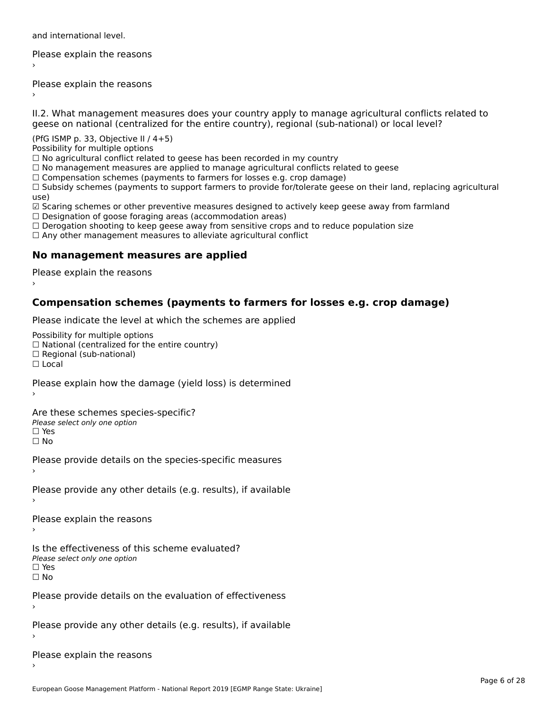and international level.

Please explain the reasons›

Please explain the reasons ›

II.2. What management measures does your country apply to manage agricultural conflicts related to

(PfG ISMP p. 33, Objective II  $/$  4+5)

Possibility for multiple options

rossibility for multiple options<br>□ No agricultural conflict related to geese has been recorded in my country

 $\Box$  No management measures are applied to manage agricultural conflicts related to geese

□ No management measures are applied to manage agricultural connicts rela<br>□ Compensation schemes (payments to farmers for losses e.g. crop damage)

∟ Compensation schemes (payments to farmers for fosses e.g. crop damage)<br>□ Subsidy schemes (payments to support farmers to provide for/tolerate geese on their land, replacing agricultural use)

use,<br>☑ Scaring schemes or other preventive measures designed to actively keep geese away from farmland ⊠ Scaring scrientes of other preventive measures designed to a<br>□ Designation of goose foraging areas (accommodation areas)

□ Designation or goose foraging areas (accommodation areas)<br>□ Derogation shooting to keep geese away from sensitive crops and to reduce population size

□ Derogation shooting to keep geese away nom sensitive crops and<br>□ Any other management measures to alleviate agricultural conflict

## **No management measures are applied**

Please explain the reasons ›

## **Compensation schemes (payments to farmers for losses e.g. crop damage)**

Please indicate the level at which the schemes are applied

Possibility for multiple options

™assibility for multiple options<br>□ National (centralized for the entire country) □ National (centralized io<br>□ Regional (sub-national)

☐ Local

Please explain how the damage (yield loss) is determined

Are these schemes species-specific?ric criese serientes spec<br>Please select only one option ☐ Yes☐ No

Please provide details on the species-specific measures

Please provide any other details (e.g. results), if available

Please explain the reasons

Is the effectiveness of this scheme evaluated? Please select only one option ☐ Yes☐ No

Please provide details on the evaluation of effectiveness

Please provide any other details (e.g. results), if available

Please explain the reasons›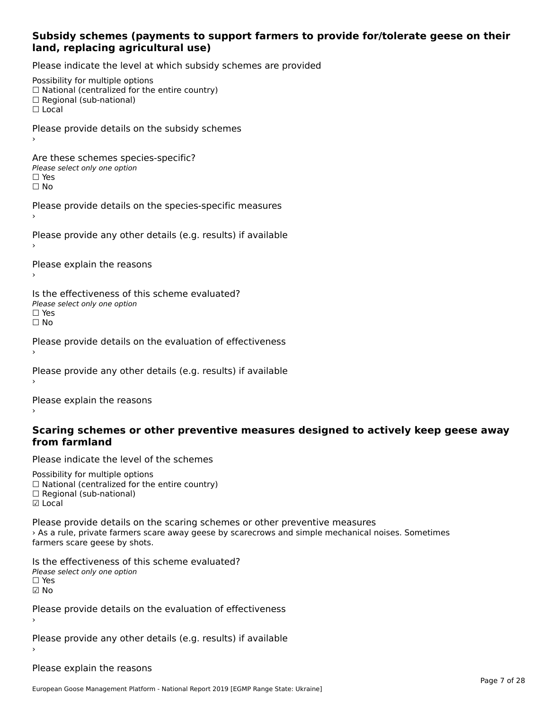#### **Subsidy schemes (payments to support farmers to provide for/tolerate geese on their land, replacing agricultural use)**

Please indicate the level at which subsidy schemes are provided

Possibility for multiple options rossibility for multiple options<br>□ National (centralized for the entire country) □ Regional (centranzed to<br>□ Regional (sub-national) ☐ LocalPlease provide details on the subsidy schemes Are these schemes species-specific?∩ne these senemes spee<br>Please select only one option □ Yes<br>□ No Please provide details on the species-specific measures Please provide any other details (e.g. results) if available Please explain the reasons Is the effectiveness of this scheme evaluated?□ CIC CILCCLIVENC55 OF C<br>Please select only one option □ Yes<br>□ No Please provide details on the evaluation of effectiveness Please provide any other details (e.g. results) if available

Please explain the reasons

#### **Scaring schemes or other preventive measures designed to actively keep geese awayfrom farmland**

Please indicate the level of the schemes

Possibility for multiple options rossibility for multiple options<br>□ National (centralized for the entire country) ☐ Regional (sub-national) ☑ Local**☑** Local

Please provide details on the scaring schemes or other preventive measures › As a rule, private farmers scare away geese by scarecrows and simple mechanical noises. Sometimes s a rule, private familiers scare<br>farmers scare geese by shots.

Is the effectiveness of this scheme evaluated? □ CIC CILCCLIVENC55 OF C<br>Please select only one option ☑ No

Please provide details on the evaluation of effectiveness

Please provide any other details (e.g. results) if available

Please explain the reasons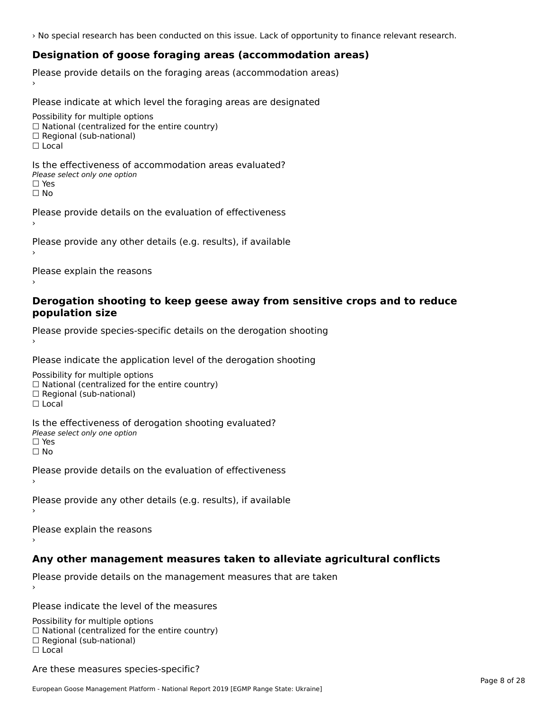› No special research has been conducted on this issue. Lack of opportunity to finance relevant research.

## **Designation of goose foraging areas (accommodation areas)**

Please provide details on the foraging areas (accommodation areas)

Please indicate at which level the foraging areas are designated

Possibility for multiple options rossibility for multiple options<br>□ National (centralized for the entire country) □ National (centralized io<br>□ Regional (sub-national)  $\Box$  Local

Is the effectiveness of accommodation areas evaluated?□ CITC CITCCITCITESS OF Q<br>Please select only one option

ים וכ<br>⊡ No

Please provide details on the evaluation of effectiveness

Please provide any other details (e.g. results), if available

Please explain the reasons

#### **Derogation shooting to keep geese away from sensitive crops and to reduce population size**population size

Please provide species-specific details on the derogation shooting ›

Please indicate the application level of the derogation shooting

Possibility for multiple options  $\Box$  National (centralized for the entire country)<br> $\Box$  National (centralized for the entire country)  $\Box$  Regional (sub-national) ☐ Local

Is the effectiveness of derogation shooting evaluated? □ CILC CILCCIVENC55 OF O<br>Please select only one option □ Yes<br>□ No

Please provide details on the evaluation of effectiveness

Please provide any other details (e.g. results), if available

Please explain the reasons

## **Any other management measures taken to alleviate agricultural conflicts**

Please provide details on the management measures that are taken

Please indicate the level of the measures

Possibility for multiple options rossibility for multiple options<br>□ National (centralized for the entire country) □ National (centralized io<br>□ Regional (sub-national) ☐ Local

Are these measures species-specific?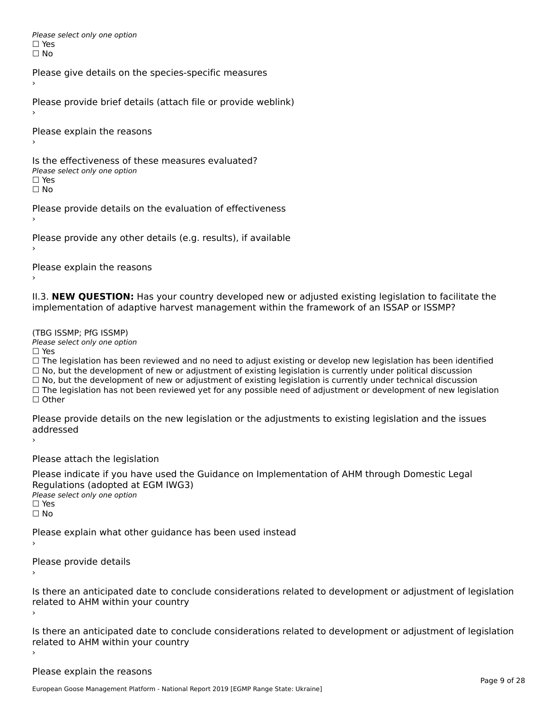Please select only one option □ Yes<br>□ No

Please give details on the species-specific measures

Please provide brief details (attach file or provide weblink)

Please explain the reasons

Is the effectiveness of these measures evaluated?□ CITC CITCCLIVENC55 OF C<br>Please select only one option □ Yes<br>□ No

Please provide details on the evaluation of effectiveness

Please provide any other details (e.g. results), if available

Please explain the reasons

II.3. **NEW QUESTION:** Has your country developed new or adjusted existing legislation to facilitate the

(TBG ISSMP; PfG ISSMP)

Please select only one option ☐ Yes

☐ The legislation has been reviewed and no need to adjust existing or develop new legislation has been identified  $\Box$  The regislation has been reviewed and no need to adjust existing or develop hew regislation has been identify and  $\Box$  No, but the development of new or adjustment of existing legislation is currently under political □ No, but the development of new or adjustment of existing legislation is currently under political discussion<br>□ No, but the development of new or adjustment of existing legislation is currently under technical discussion □ No, but the development of hew or adjustment of existing regislation is currently under technical discussion<br>□ The legislation has not been reviewed yet for any possible need of adjustment or development of new legislat

Please provide details on the new legislation or the adjustments to existing legislation and the issues uuurcoscu

Please attach the legislation

Please indicate if you have used the Guidance on Implementation of AHM through Domestic Legal Regulations (adopted at EGM IWG3)<br>Please select only one option *riease*<br>□ Yes ☐ No

Please explain what other guidance has been used instead

Please provide details

Is there an anticipated date to conclude considerations related to development or adjustment of legislation Proced to Arm within your country

Is there an anticipated date to conclude considerations related to development or adjustment of legislation related to Arm within your country

Please explain the reasons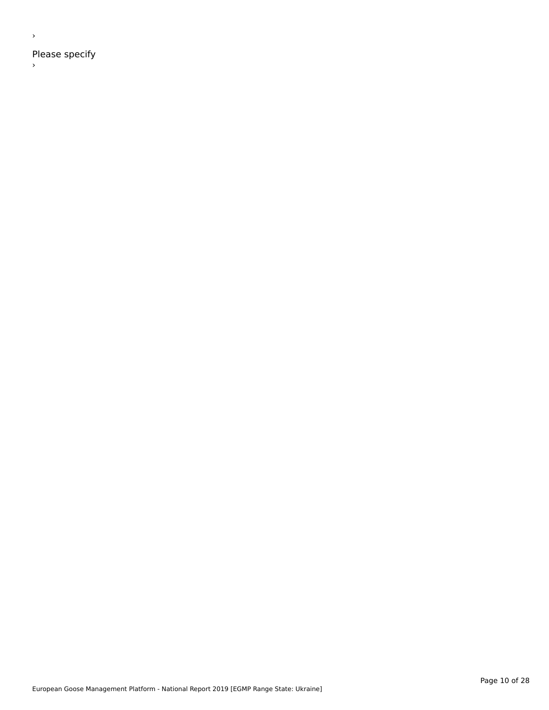Please specify

 $\rightarrow$ 

›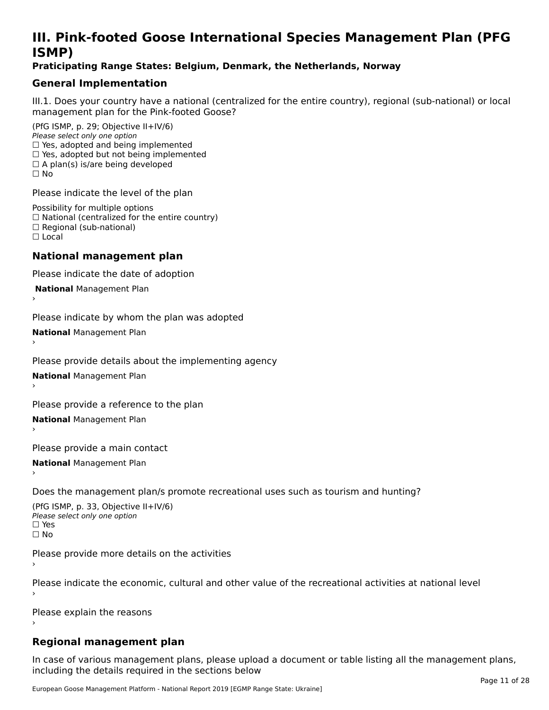# **III. Pink-footed Goose International Species Management Plan (PFG**III. FIIIN-IUULEU GUUSE IIILEI II**atiunai Species Management Fian (FTG**<br>ISMD)

#### **Praticipating Range States: Belgium, Denmark, the Netherlands, Norway**

## **General Implementation**

III.1. Does your country have a national (centralized for the entire country), regional (sub-national) or local

(PfG ISMP, p. 29; Objective II+IV/6) Please select only one option *riease select only one option*<br>□ Yes, adopted and being implemented  $\Box$  res, adopted and being implemented<br> $\Box$  Yes, adopted but not being implemented  $\Box$  A plan(s) is/are being developed ☐ No

Please indicate the level of the plan

Possibility for multiple options rossibility for multiple options<br>□ National (centralized for the entire country) □ National (centralized io<br>□ Regional (sub-national) ☐ Local

#### **National management plan**

Please indicate the date of adoption

 **National** Management Plan

›

Please indicate by whom the plan was adopted

**National** Management Plan ›

Please provide details about the implementing agency

**National** Management Plan ›

Please provide a reference to the plan

**National** Management Plan ›

Please provide a main contact

**National** Management Plan ›

Does the management plan/s promote recreational uses such as tourism and hunting?

(PfG ISMP, p. 33, Objective II+IV/6) Please select only one optionPlease select only one option  $\square$  Yes ☐ No

Please provide more details on the activities

Please indicate the economic, cultural and other value of the recreational activities at national level

Please explain the reasons

#### **Regional management plan**

In case of various management plans, please upload a document or table listing all the management plans, $\frac{1}{2}$  case of various management plans, please uploa including the details required in the sections below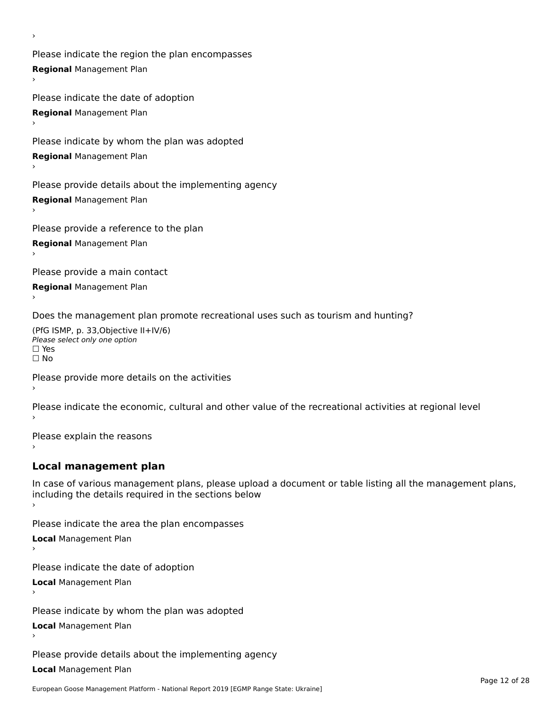Please indicate the region the plan encompasses **Regional** Management Plan

Please indicate the date of adoption **Regional** Management Plan ›

Please indicate by whom the plan was adopted

**Regional** Management Plan

›

Please provide details about the implementing agency

**Regional** Management Plan

Please provide a reference to the plan

**Regional** Management Plan

Please provide a main contact

**Regional** Management Plan

Does the management plan promote recreational uses such as tourism and hunting?

(PfG ISMP, p. 33,Objective II+IV/6) ∩∩ וויוכו פון<br>Please select only one option<br>□ Yes □ Yes<br>□ No

Please provide more details on the activities

Please indicate the economic, cultural and other value of the recreational activities at regional level

Please explain the reasons ›

### **Local management plan**

In case of various management plans, please upload a document or table listing all the management plans, In case of various management plans, please uploa<br>including the details required in the sections below

Please indicate the area the plan encompasses

**Local** Management Plan

Please indicate the date of adoption

**Local** Management Plan›

Please indicate by whom the plan was adopted

**Local** Management Plan

Please provide details about the implementing agency

**Local** Management Plan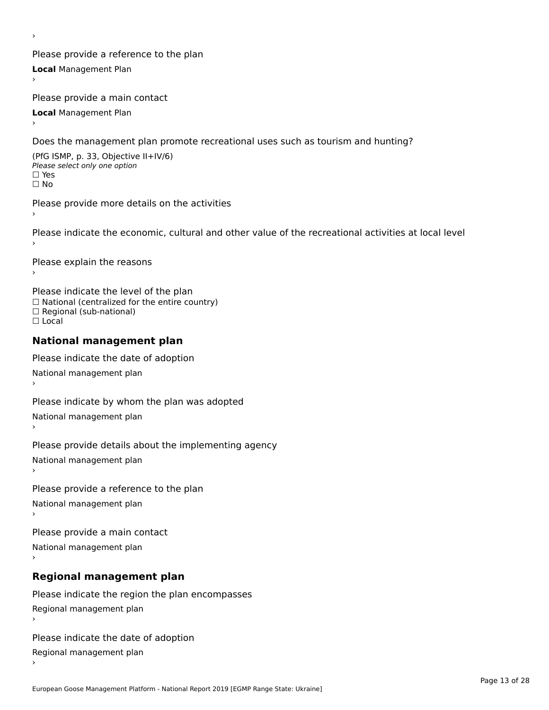Please provide a reference to the plan **Local** Management Plan

Please provide a main contact

**Local** Management Plan

›

Does the management plan promote recreational uses such as tourism and hunting?

(PfG ISMP, p. 33, Objective II+IV/6) Please select only one option☐ Yes☐ No

Please provide more details on the activities

Please indicate the economic, cultural and other value of the recreational activities at local level

Please explain the reasons ›

Please indicate the level of the plan ∩ease marcate the lever of the plan<br>□ National (centralized for the entire country) □ National (centralized io<br>□ Regional (sub-national) ☐ Local

#### **National management plan**

Please indicate the date of adoption National management plan

Please indicate by whom the plan was adopted National management plan ›

Please provide details about the implementing agency

National management plan

Please provide a reference to the plan

National management plan

Please provide a main contact

National management plan

# **Regional management plan**

Please indicate the region the plan encompasses Regional management plan

Please indicate the date of adoption

Regional management plan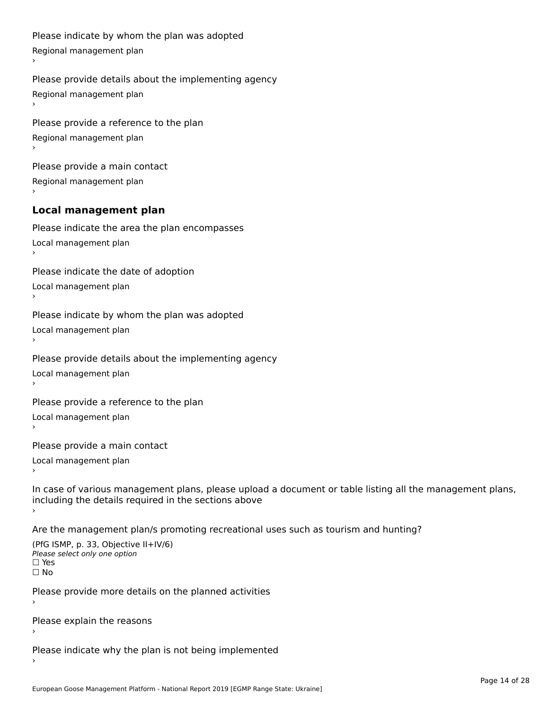```
Please indicate by whom the plan was adopted Regional management plan
Please provide details about the implementing agency Regional management plan
Please provide a reference to the plan Regional management plan
Please provide a main contact Regional management plan
Local management plan
Please indicate the area the plan encompasses Local management plan›Please indicate the date of adoption Local management plan١,
Please indicate by whom the plan was adopted Local management plan›Please provide details about the implementing agency Local management plan١,
Please provide a reference to the plan Local management plan›Please provide a main contact Local management plan١,
In case of various management plans, please upload a document or table listing all the management plans,in case or various management plans, please upload
including the details required in the sections above
Are the management plan/s promoting recreational uses such as tourism and hunting?
```

```
(PfG ISMP, p. 33, Objective II+IV/6)
Please select only one option☐ Yes☐ No
```
Please provide more details on the planned activities

Please explain the reasons›

Please indicate why the plan is not being implemented›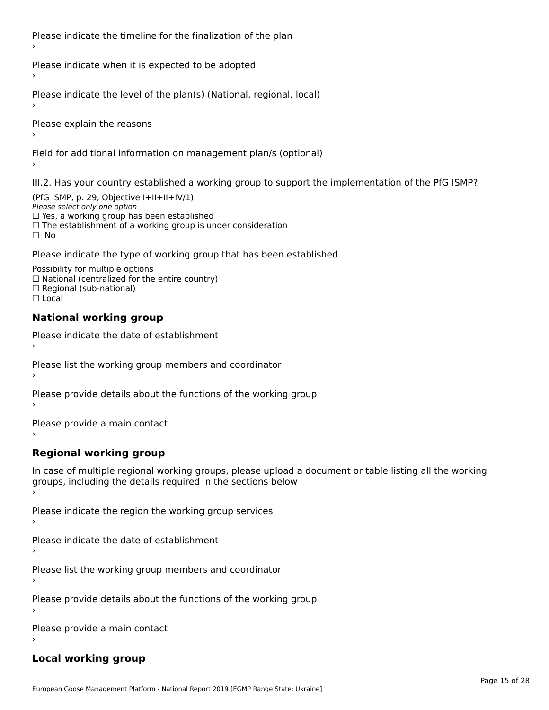Please indicate the timeline for the finalization of the plan

Please indicate when it is expected to be adopted

Please indicate the level of the plan(s) (National, regional, local)

Please explain the reasons

Field for additional information on management plan/s (optional)

III.2. Has your country established a working group to support the implementation of the PfG ISMP?

(PfG ISMP, p. 29, Objective  $I+II+II+IV/1$ ) Please select only one option □ Yes, a working group has been established □ Tes, a working group has been established<br>□ The establishment of a working group is under consideration

Please indicate the type of working group that has been established

Possibility for multiple options ™assibility for multiple options<br>□ National (centralized for the entire country) □ National (centralized io<br>□ Regional (sub-national)  $\Box$  Local

#### **National working group**

›

Please indicate the date of establishment

Please list the working group members and coordinator ›

Please provide details about the functions of the working group ›

Please provide a main contact ›

**Regional working group**

In case of multiple regional working groups, please upload a document or table listing all the working In case of multiple regional working groups, please upload a<br>groups, including the details required in the sections below

Please indicate the region the working group services ›

Please indicate the date of establishment ›

Please list the working group members and coordinator ›

Please provide details about the functions of the working group ›

Please provide a main contact ›

### **Local working group**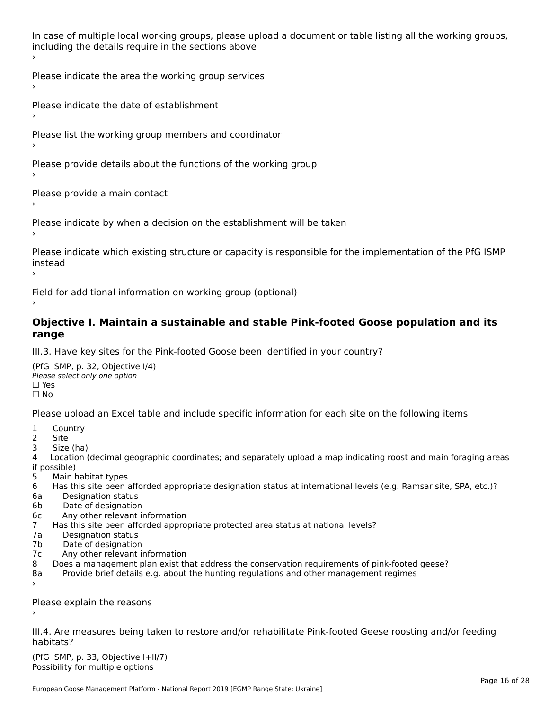In case of multiple local working groups, please upload a document or table listing all the working groups, including the details require in the sections above

Please indicate the area the working group services ›

Please indicate the date of establishment ›

Please list the working group members and coordinator

›

Please provide details about the functions of the working group ›

Please provide a main contact ›

Please indicate by when a decision on the establishment will be taken

Please indicate which existing structure or capacity is responsible for the implementation of the PfG ISMP instead ›

Field for additional information on working group (optional)

#### **Objective I. Maintain a sustainable and stable Pink-footed Goose population and its range**range

III.3. Have key sites for the Pink-footed Goose been identified in your country?

(PfG ISMP, p. 32, Objective I/4)Please select only one option ☐ Yes☐ No

Please upload an Excel table and include specific information for each site on the following items

- $1 \quad \alpha$
- 2 Site
- 2 Site<br>3 Size (ha)

د حدد una<br>4 Location (decimal geographic coordinates; and separately upload a map indicating roost and main foraging areas 4 Location<br>if possible)

- 5 Main habitat types
- 6 Has this site been afforded appropriate designation status at international levels (e.g. Ramsar site, SPA, etc.)? 6. Bestweetter status
- 6a Designation status<br>6b Date of designation
- 
- 6c Any other relevant information
- 7 Has this site been afforded appropriate protected area status at national levels? 7a Designation status
- 7a Designation status<br>7b Date of designation
- 
- 7c Any other relevant information
- 8 Does a management plan exist that address the conservation requirements of pink-footed geese?
- 8a Provide brief details e.g. about the hunting regulations and other management regimes ›

Please explain the reasons

III.4. Are measures being taken to restore and/or rehabilitate Pink-footed Geese roosting and/or feeding habitats?

 $(PCI GMP, p. 33, Qb)$  is the I+II/7) Possibility for multiple optionsPossibility for multiple options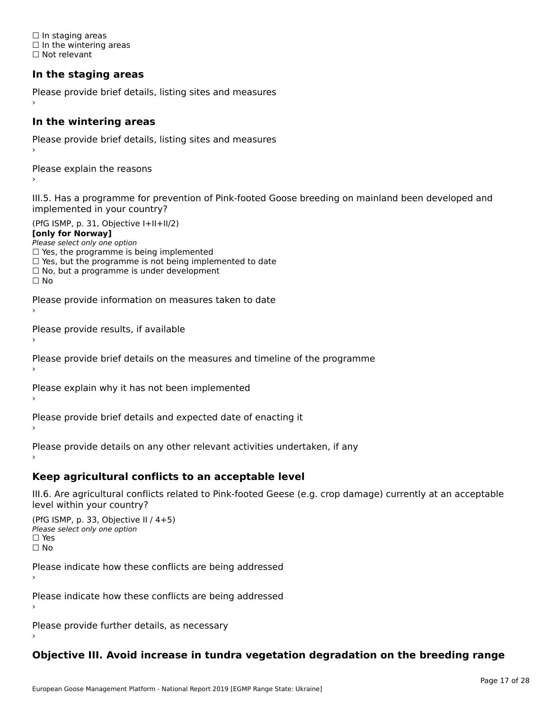☐ In staging areas □ in staging areas<br>□ In the wintering areas ☐ Not relevant

## **In the staging areas**

```
Please provide brief details, listing sites and measures ›
```
#### **In the wintering areas**

Please provide brief details, listing sites and measures ›

Please explain the reasons

III.5. Has a programme for prevention of Pink-footed Goose breeding on mainland been developed and implemented in your country?

(PfG ISMP, p. 31, Objective I+II+II/2)

**[only for Norway]**

Please select only one option riease select only one option<br>□ Yes, the programme is being implemented

 $\Box$  ies, the programme is being implemented to date  $\Box$  Yes, but the programme is not being implemented to date

 $\Box$  No, but a programme is under development

Please provide information on measures taken to date

Please provide results, if available

Please provide brief details on the measures and timeline of the programme

Please explain why it has not been implemented

Please provide brief details and expected date of enacting it

Please provide details on any other relevant activities undertaken, if any›

**Keep agricultural conflicts to an acceptable level**

III.6. Are agricultural conflicts related to Pink-footed Geese (e.g. crop damage) currently at an acceptable

```
(PfG ISMP, p. 33, Objective II (4+5))
Please select only one option
☐ Yes☐ No
```
Please indicate how these conflicts are being addressed

Please indicate how these conflicts are being addressed›

Please provide further details, as necessary ›

## **Objective III. Avoid increase in tundra vegetation degradation on the breeding range**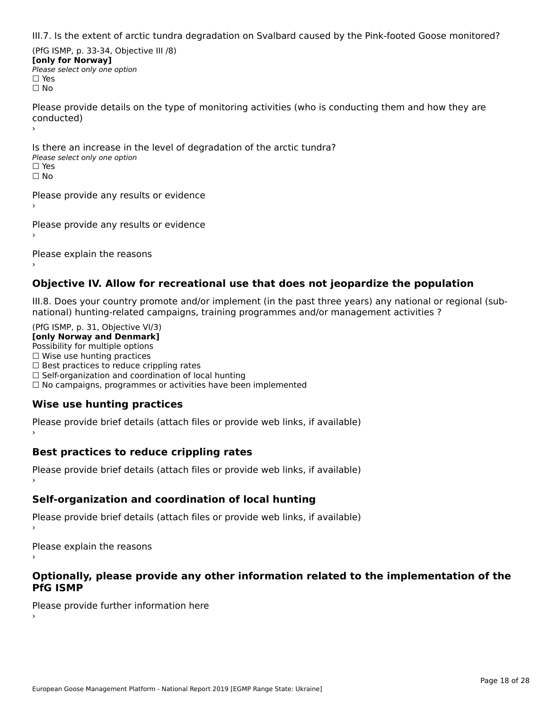III.7. Is the extent of arctic tundra degradation on Svalbard caused by the Pink-footed Goose monitored?

(PfG ISMP, p. 33-34, Objective III /8) **[only for Norway] Please select only one option** □ Yes<br>□ No

Please provide details on the type of monitoring activities (who is conducting them and how they are riease prov ›

Is there an increase in the level of degradation of the arctic tundra? □ CitCre dir increduce in c<br>Please select only one option □ Yes<br>□ No

Please provide any results or evidence

Please provide any results or evidence

Please explain the reasons

›

#### **Objective IV. Allow for recreational use that does not jeopardize the population**

III.8. Does your country promote and/or implement (in the past three years) any national or regional (sub $m.0.168$  your country promove and/or miplement (in the past time years) any national or

(PfG ISMP, p. 31, Objective VI/3) **[only Norway and Denmark]** Possibility for multiple options ☐ Wise use hunting practices  $\Box$  wise use numing practices<br> $\Box$  Best practices to reduce crippling rates □ Best practices to reduce crippinig rates<br>□ Self-organization and coordination of local hunting □ Sen-organization and coordination or local nunting<br>□ No campaigns, programmes or activities have been implemented

## **Wise use hunting practices**

Please provide brief details (attach files or provide web links, if available) ›

## **Best practices to reduce crippling rates**

Please provide brief details (attach files or provide web links, if available)

## **Self-organization and coordination of local hunting**

Please provide brief details (attach files or provide web links, if available)

Please explain the reasons

#### **Optionally, please provide any other information related to the implementation of the PfG ISMP**

Please provide further information here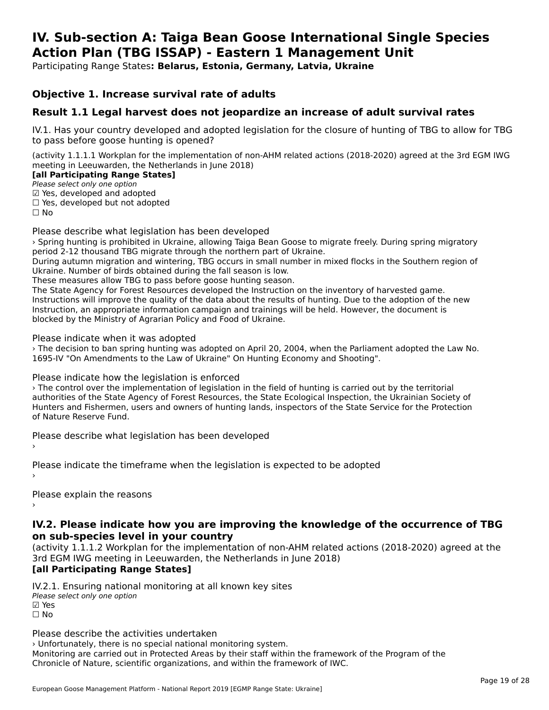#### **IV. Sub-section A: Taiga Bean Goose International Single Species Action Plan (TBG ISSAP) - Eastern 1 Management UnitAction Plan (TBG ISSAP) - Eastern 1 Management Unit**

Participating Range States**: Belarus, Estonia, Germany, Latvia, Ukraine** 

#### **Objective 1. Increase survival rate of adults**

### **Result 1.1 Legal harvest does not jeopardize an increase of adult survival rates**

IV.1. Has your country developed and adopted legislation for the closure of hunting of TBG to allow for TBG to pass before goose hunting is opened?

(activity 1.1.1.1 Workplan for the implementation of non-AHM related actions (2018-2020) agreed at the 3rd EGM IWG meeting in Leeuwarden, the Netherlands in June 2018)

#### **[all Participating Range States]**

**Lan Tarticipating Range**<br>Please select only one option

Prease select only one option<br>☑ Yes, developed and adopted

 $\Box$  ies, developed but not adopted

Please describe what legislation has been developed

› Spring hunting is prohibited in Ukraine, allowing Taiga Bean Goose to migrate freely. During spring migratory period 2-12 thousand TBG migrate through the northern part of Ukraine.

During autumn migration and wintering, TBG occurs in small number in mixed flocks in the Southern region of Ukraine. Number of birds obtained during the fall season is low.

OKTATHE. NUTTIDEN OF DITUS ODLATTED DUTTING THE TAIL SEASON IS TOW.<br>These measures allow TBG to pass before goose hunting season.

The State Agency for Forest Resources developed the Instruction on the inventory of harvested game.<br>The State Agency for Forest Resources developed the Instruction on the inventory of harvested game. Interstate Agency for Forest Resources developed the instruction on the inventory of harvested game.<br>Instructions will improve the quality of the data about the results of hunting. Due to the adoption of the new Instruction, an appropriate information campaign and trainings will be held. However, the document is blocked by the Ministry of Agrarian Policy and Food of Ukraine.

Please indicate when it was adopted

› The decision to ban spring hunting was adopted on April 20, 2004, when the Parliament adopted the Law No. 1695-IV "On Amendments to the Law of Ukraine" On Hunting Economy and Shooting".

Please indicate how the legislation is enforced

› The control over the implementation of legislation in the field of hunting is carried out by the territorial authorities of the State Agency of Forest Resources, the State Ecological Inspection, the Ukrainian Society of additiontles of the state Agency of Forest Resources, the state Ecological Inspection, the OKTamian Society of<br>Hunters and Fishermen, users and owners of hunting lands, inspectors of the State Service for the Protection of Nature Reserve Fund.

Please describe what legislation has been developed

Please indicate the timeframe when the legislation is expected to be adopted

Please explain the reasons

#### **IV.2. Please indicate how you are improving the knowledge of the occurrence of TBG on sub-species level in your country**on sub-species level in your country

(activity 1.1.1.2 Workplan for the implementation of non-AHM related actions (2018-2020) agreed at the 3rd EGM IWG meeting in Leeuwarden, the Netherlands in June 2018)

#### **[all Participating Range States]**

IV.2.1. Ensuring national monitoring at all known key sites

™ Ensuring nutional<br>Please select only one option

☐ No

Please describe the activities undertaken

› Unfortunately, there is no special national monitoring system. Monitoring are carried out in Protected Areas by their staff within the framework of the Program of the Chronicle of Nature, scientific organizations, and within the framework of IWC.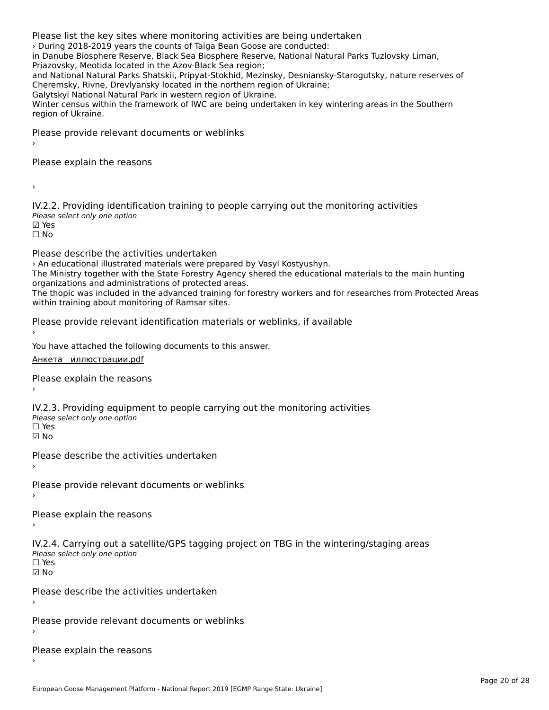Please list the key sites where monitoring activities are being undertaken › During 2018-2019 years the counts of Taiga Bean Goose are conducted: in Danube Biosphere Reserve, Black Sea Biosphere Reserve, National Natural Parks Tuzlovsky Liman, Priazovsky, Meotida located in the Azov-Black Sea region;and National Natural Parks Shatskii, Pripyat-Stokhid, Mezinsky, Desniansky-Starogutsky, nature reserves of and National Natural Parks Shatskil, Pripyat-Stokhid, Mezinsky, Desmanski<br>Cheremsky, Rivne, Drevlyansky located in the northern region of Ukraine; Galytskyi National Natural Park in western region of Ukraine. Winter census within the framework of IWC are being undertaken in key wintering areas in the Southern

*villier cerisus wider*<br>region of Ukraine.

Please provide relevant documents or weblinks

Please explain the reasons

IV.2.2. Providing identification training to people carrying out the monitoring activities wez:2: Troviding Tachem<br>Please select only one option **☑ Yes**<br>□ No

Please describe the activities undertaken

› An educational illustrated materials were prepared by Vasyl Kostyushyn.

The Ministry together with the State Forestry Agency shered the educational materials to the main hunting The ministry together with the state rorestry Agency<br>organizations and administrations of protected areas.

The thopic was included in the advanced training for forestry workers and for researches from Protected Areas The thopic was included in the advanced training<br>within training about monitoring of Ramsar sites.

Please provide relevant identification materials or weblinks, if available

You have attached the following documents to this answer.

[Анкета\\_\\_иллюстрации.pdf](http://aewa-ort.ort-production.linode.unep-wcmc.org/answers/2657905/documents/1574)

Please explain the reasons

IV.2.3. Providing equipment to people carrying out the monitoring activities rv.2.5. I roviding equipm<br>Please select only one option ☐ Yes

☑ No

Please describe the activities undertaken›

Please provide relevant documents or weblinks

›

Please explain the reasons

IV.2.4. Carrying out a satellite/GPS tagging project on TBG in the wintering/staging areas rv.2.4. Carrying out a sc<br>Please select only one option ☐ Yes

☑ No

Please describe the activities undertaken›

Please provide relevant documents or weblinks

Please explain the reasons›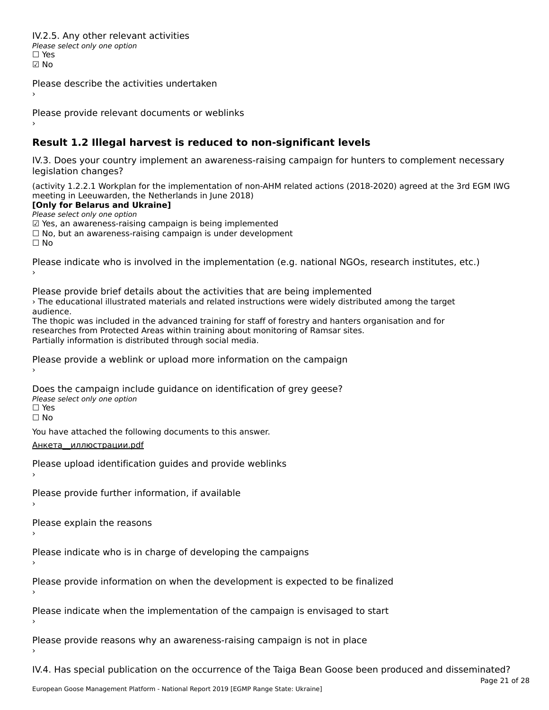IV.2.5. Any other relevant activitiesPlease select only one option ☐ Yes☑ No

Please describe the activities undertaken›

Please provide relevant documents or weblinks

#### **Result 1.2 Illegal harvest is reduced to non-significant levels**

IV.3. Does your country implement an awareness-raising campaign for hunters to complement necessary rv.5. Does your courr<br>legislation changes?

(activity 1.2.2.1 Workplan for the implementation of non-AHM related actions (2018-2020) agreed at the 3rd EGM IWG meeting in Leeuwarden, the Netherlands in June 2018)

**[Only for Belarus and Ukraine]**

**Please select only one option** *riease select only one option*<br>മ Yes, an awareness-raising campaign is being implemented

⊠ Tes, an awareness-raising campaign is being implemented<br>□ No, but an awareness-raising campaign is under development

Please indicate who is involved in the implementation (e.g. national NGOs, research institutes, etc.)

Please provide brief details about the activities that are being implemented

› The educational illustrated materials and related instructions were widely distributed among the target *c* rife edu<br>audience.

The thopic was included in the advanced training for staff of forestry and hanters organisation and for rife trippic was included in the advanced training for start of forestly and namers to<br>researches from Protected Areas within training about monitoring of Ramsar sites. Partially information is distributed through social media.

Please provide a weblink or upload more information on the campaign

Does the campaign include guidance on identification of grey geese? **DOCS** the campaign mer □ Yes<br>□ No

You have attached the following documents to this answer.

[Анкета\\_\\_иллюстрации.pdf](http://aewa-ort.ort-production.linode.unep-wcmc.org/answers/2657915/documents/1573)

Please upload identification guides and provide weblinks

Please provide further information, if available

Please explain the reasons

Please indicate who is in charge of developing the campaigns

Please provide information on when the development is expected to be finalized

Please indicate when the implementation of the campaign is envisaged to start

Please provide reasons why an awareness-raising campaign is not in place

IV.4. Has special publication on the occurrence of the Taiga Bean Goose been produced and disseminated?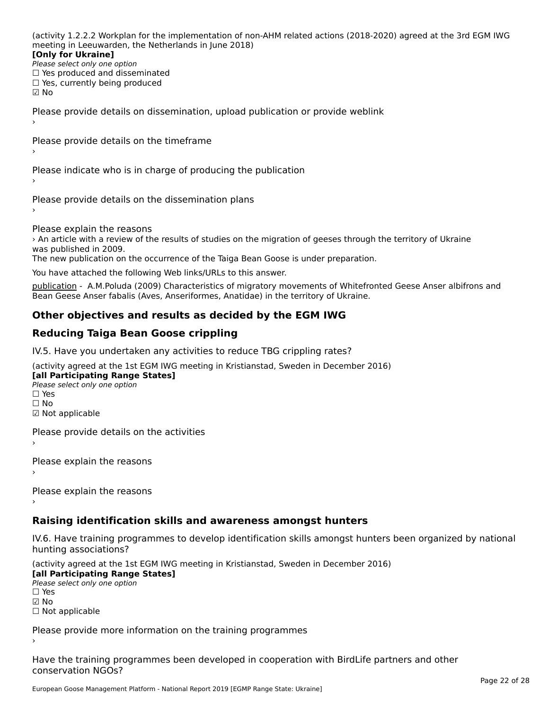(activity 1.2.2.2 Workplan for the implementation of non-AHM related actions (2018-2020) agreed at the 3rd EGM IWG meeting in Leeuwarden, the Netherlands in June 2018)

#### **[Only for Ukraine]**

**LOTTLY TOT ONTAILLET**<br>Please select only one option *Please select only one option*<br>□ Yes produced and disseminated  $\Box$  ies produced and disseminate<br> $\Box$  Yes, currently being produced ☑ No

Please provide details on dissemination, upload publication or provide weblink

Please provide details on the timeframe›

Please indicate who is in charge of producing the publication

Please provide details on the dissemination plans›

Please explain the reasons

› An article with a review of the results of studies on the migration of geeses through the territory of Ukraine was published in 2009.

was published in 2009.<br>The new publication on the occurrence of the Taiga Bean Goose is under preparation.

You have attached the following Web links/URLs to this answer.

publication - A.M.Poluda (2009) Characteristics of migratory movements of Whitefronted Geese Anser albifrons andpublication - A.M.Foldda (2009) Characteristics of migratory movements of whitent<br>[Bean Geese](http://branta.org.ua/branta-pdf/12/branta-12-09.pdf) Anser fabalis (Aves, Anseriformes, Anatidae) in the territory of Ukraine.

## **Other objectives and results as decided by the EGM IWG**

## **Reducing Taiga Bean Goose crippling**

IV.5. Have you undertaken any activities to reduce TBG crippling rates?

(activity agreed at the 1st EGM IWG meeting in Kristianstad, Sweden in December 2016) **[all Participating Range States]**

[all Participating Range States] **Lan Tarticipating Range**<br>Please select only one option ☐ Yes☐ No

☑ Not applicable

Please provide details on the activities

Please explain the reasons›

Please explain the reasons

## **Raising identification skills and awareness amongst hunters**

IV.6. Have training programmes to develop identification skills amongst hunters been organized by national hunting associations?

(activity agreed at the 1st EGM IWG meeting in Kristianstad, Sweden in December 2016)

**[all Participating Range States] Please select only one option** 

☑ No

☐ Not applicable

Please provide more information on the training programmes

Have the training programmes been developed in cooperation with BirdLife partners and other riave the training pro<br>conservation NGOs?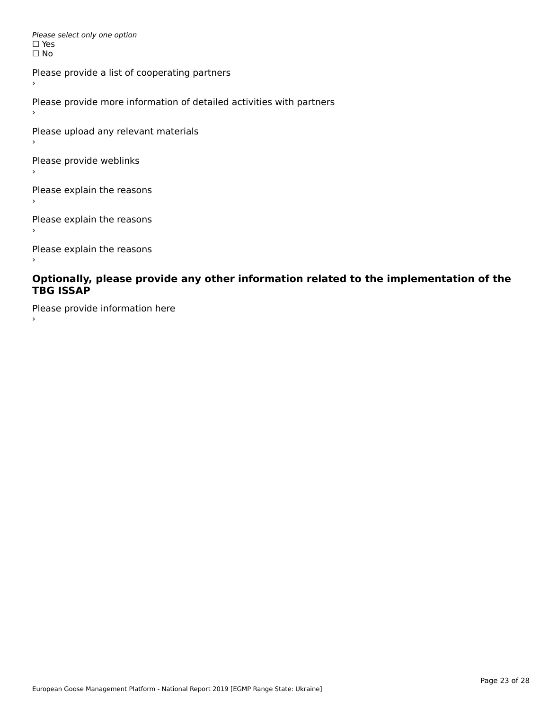Please select only one option *riease*<br>□ Yes ים וכ<br>⊡ No

Please provide a list of cooperating partners

Please provide more information of detailed activities with partners

Please upload any relevant materials

Please provide weblinks

Please explain the reasons

Please explain the reasons

Please explain the reasons

#### **Optionally, please provide any other information related to the implementation of the TBG ISSAPTBG ISSAP**

Please provide information here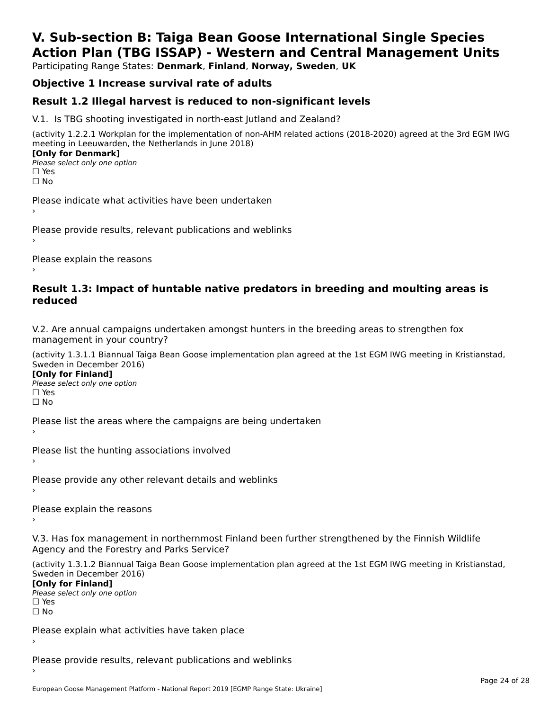# **V. Sub-section B: Taiga Bean Goose International Single SpeciesAction Plan (TBG ISSAP) - Western and Central Management Units**

Participating Range States: **Denmark**, **Finland**, **Norway, Sweden**, **UK**

## **Objective 1 Increase survival rate of adults**

### **Result 1.2 Illegal harvest is reduced to non-significant levels**

V.1. Is TBG shooting investigated in north-east Jutland and Zealand?

(activity 1.2.2.1 Workplan for the implementation of non-AHM related actions (2018-2020) agreed at the 3rd EGM IWG meeting in Leeuwarden, the Netherlands in June 2018) **[Only for Denmark] LOTTLY TOT DETITIONS**<br>Please select only one option

*riease*<br>□ Yes<br>□ No

Please indicate what activities have been undertaken›

Please provide results, relevant publications and weblinks ›

Please explain the reasons

#### **Result 1.3: Impact of huntable native predators in breeding and moulting areas is reduced**

V.2. Are annual campaigns undertaken amongst hunters in the breeding areas to strengthen fox v.z. Are annual campaigns und<br>management in your country?

(activity 1.3.1.1 Biannual Taiga Bean Goose implementation plan agreed at the 1st EGM IWG meeting in Kristianstad, Sweden in December 2016)

**[Only for Finland]** Please select only one optionriease<br>□ Yes ים וכ<br>⊡ No

Please list the areas where the campaigns are being undertaken

Please list the hunting associations involved

Please provide any other relevant details and weblinks ›

Please explain the reasons›

V.3. Has fox management in northernmost Finland been further strengthened by the Finnish Wildlife v.5. Has fox management in northernmost F<br>Agency and the Forestry and Parks Service?

(activity 1.3.1.2 Biannual Taiga Bean Goose implementation plan agreed at the 1st EGM IWG meeting in Kristianstad, Sweden in December 2016) Sweden in December 2016)

[Only for Finland]

**Please select only one option** □ Yes<br>□ No

Please explain what activities have taken place

Please provide results, relevant publications and weblinks ›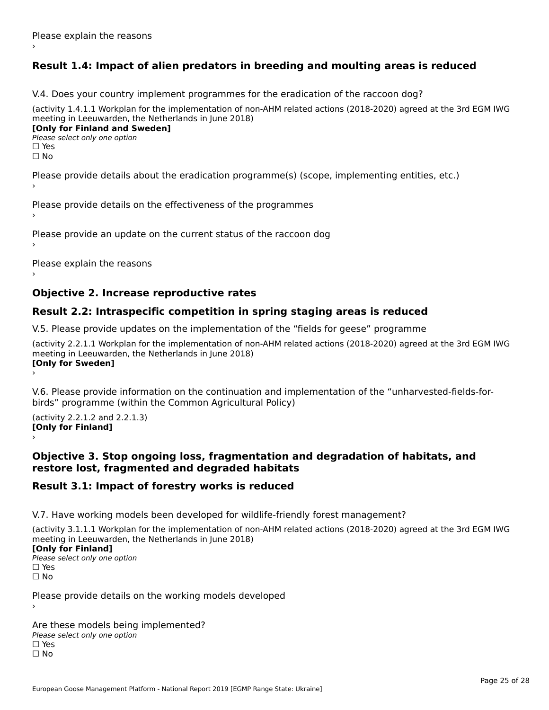## **Result 1.4: Impact of alien predators in breeding and moulting areas is reduced**

V.4. Does your country implement programmes for the eradication of the raccoon dog?

(activity 1.4.1.1 Workplan for the implementation of non-AHM related actions (2018-2020) agreed at the 3rd EGM IWG meeting in Leeuwarden, the Netherlands in June 2018) **[Only for Finland and Sweden]**

**Please select only one option** 

□ Yes<br>□ No

Please provide details about the eradication programme(s) (scope, implementing entities, etc.)

Please provide details on the effectiveness of the programmes

Please provide an update on the current status of the raccoon dog

Please explain the reasons

#### **Objective 2. Increase reproductive rates**

### **Result 2.2: Intraspecific competition in spring staging areas is reduced**

V.5. Please provide updates on the implementation of the "fields for geese" programme

(activity 2.2.1.1 Workplan for the implementation of non-AHM related actions (2018-2020) agreed at the 3rd EGM IWG meeting in Leeuwarden, the Netherlands in June 2018) Loury for Swedent

V.6. Please provide information on the continuation and implementation of the "unharvested-fields-forbirds" programme (within the Common Agricultural Policy)birds" programme (within the Common Agricultural Policy)

(activity 2.2.1.2 and 2.2.1.3) **[Only for Finland]** ›

#### **Objective 3. Stop ongoing loss, fragmentation and degradation of habitats, and restore lost, fragmented and degraded habitats**

#### **Result 3.1: Impact of forestry works is reduced**

V.7. Have working models been developed for wildlife-friendly forest management?

(activity 3.1.1.1 Workplan for the implementation of non-AHM related actions (2018-2020) agreed at the 3rd EGM IWG meeting in Leeuwarden, the Netherlands in June 2018)

#### **[Only for Finland]**

**Please select only one option** □ Yes<br>□ No

Please provide details on the working models developed

Are these models being implemented? ∩ne enese moders being<br>Please select only one option □ Yes<br>□ No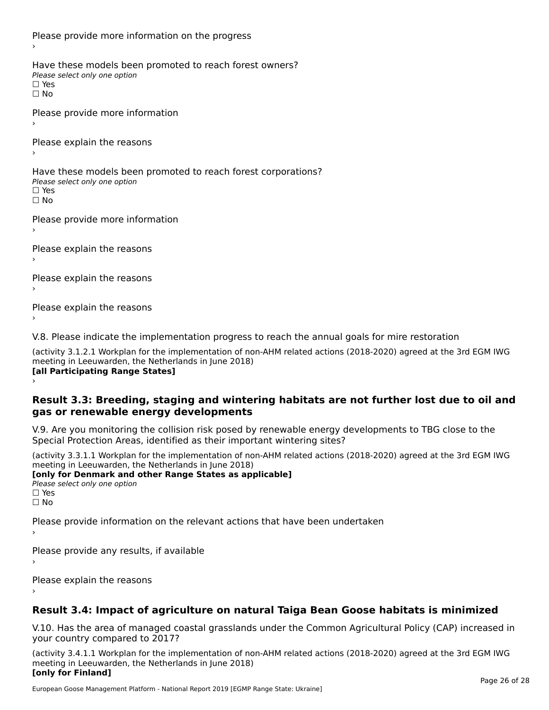Please provide more information on the progress Have these models been promoted to reach forest owners? ∩ave these models bee<br>Please select only one option □ Yes<br>□ No Please provide more information Please explain the reasons ›Have these models been promoted to reach forest corporations? ∩ave these models bee<br>Please select only one option □ Yes<br>□ No Please provide more information Please explain the reasons ›Please explain the reasons›Please explain the reasons›

V.8. Please indicate the implementation progress to reach the annual goals for mire restoration

(activity 3.1.2.1 Workplan for the implementation of non-AHM related actions (2018-2020) agreed at the 3rd EGM IWG meeting in Leeuwarden, the Netherlands in June 2018) **[all Participating Range States]** ›

**Result 3.3: Breeding, staging and wintering habitats are not further lost due to oil and gas or renewable energy developments**gas or renewable energy developments

V.9. Are you monitoring the collision risk posed by renewable energy developments to TBG close to the Special Protection Areas, identified as their important wintering sites?

(activity 3.3.1.1 Workplan for the implementation of non-AHM related actions (2018-2020) agreed at the 3rd EGM IWG meeting in Leeuwarden, the Netherlands in June 2018) **[only for Denmark and other Range States as applicable]**

```
Please select only one option
□ Yes<br>□ No
```
Please provide information on the relevant actions that have been undertaken ›

Please provide any results, if available

Please explain the reasons

## **Result 3.4: Impact of agriculture on natural Taiga Bean Goose habitats is minimized**

V.10. Has the area of managed coastal grasslands under the Common Agricultural Policy (CAP) increased in

(activity 3.4.1.1 Workplan for the implementation of non-AHM related actions (2018-2020) agreed at the 3rd EGM IWG meeting in Leeuwarden, the Netherlands in June 2018) **[only for Finland]**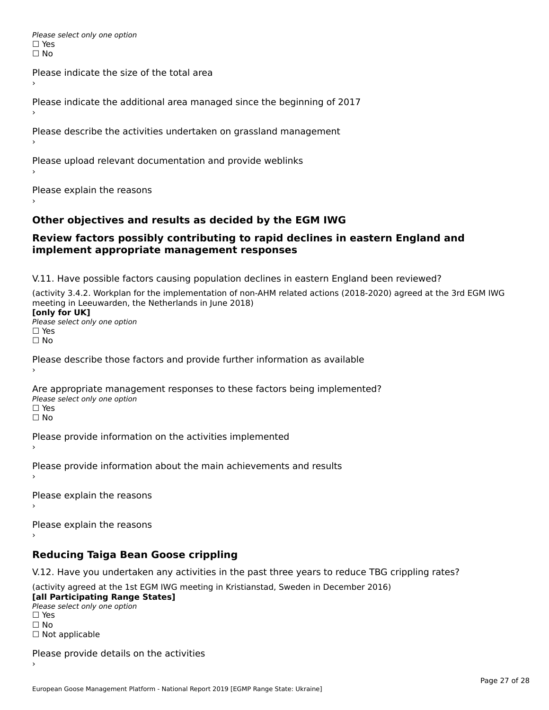Please select only one option □ Yes<br>□ No

Please indicate the size of the total area›

Please indicate the additional area managed since the beginning of 2017

Please describe the activities undertaken on grassland management

Please upload relevant documentation and provide weblinks

Please explain the reasons

### **Other objectives and results as decided by the EGM IWG**

#### **Review factors possibly contributing to rapid declines in eastern England and implement appropriate management responses**implement appropriate management responses

V.11. Have possible factors causing population declines in eastern England been reviewed?

(activity 3.4.2. Workplan for the implementation of non-AHM related actions (2018-2020) agreed at the 3rd EGM IWG meeting in Leeuwarden, the Netherlands in June 2018)<br>**[only for UK]** 

**∐omy for OR**<br>Please select only one option □ Yes<br>□ No

Please describe those factors and provide further information as available

Are appropriate management responses to these factors being implemented? Please select only one option ים<br>⊡ No

Please provide information on the activities implemented

Please provide information about the main achievements and results›

Please explain the reasons

Please explain the reasons

**Reducing Taiga Bean Goose crippling**

V.12. Have you undertaken any activities in the past three years to reduce TBG crippling rates?

(activity agreed at the 1st EGM IWG meeting in Kristianstad, Sweden in December 2016) **[all Participating Range States]**

[all Participating Range States] Please select only one option☐ Yesים<br>⊡ No □ Not applicable

Please provide details on the activities